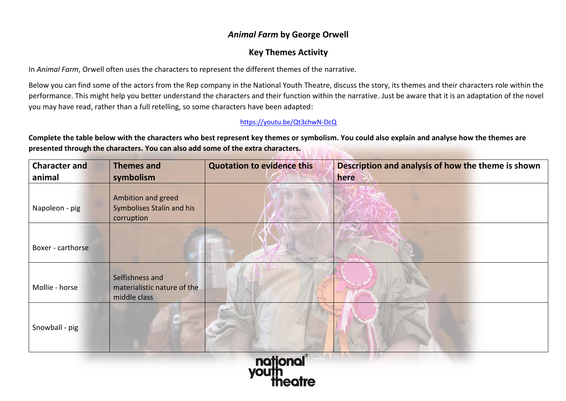## *Animal Farm* **by George Orwell**

## **Key Themes Activity**

In *Animal Farm*, Orwell often uses the characters to represent the different themes of the narrative.

Below you can find some of the actors from the Rep company in the National Youth Theatre, discuss the story, its themes and their characters role within the performance. This might help you better understand the characters and their function within the narrative. Just be aware that it is an adaptation of the novel you may have read, rather than a full retelling, so some characters have been adapted:

## <https://youtu.be/Qt3chwN-DcQ>

**Complete the table below with the characters who best represent key themes or symbolism. You could also explain and analyse how the themes are presented through the characters. You can also add some of the extra characters.**

| <b>Character and</b> | <b>Themes and</b>                                              | <b>Quotation to evidence this</b> | Description and analysis of how the theme is shown |  |
|----------------------|----------------------------------------------------------------|-----------------------------------|----------------------------------------------------|--|
| animal               | symbolism                                                      |                                   | here                                               |  |
| Napoleon - pig       | Ambition and greed<br>Symbolises Stalin and his<br>corruption  |                                   |                                                    |  |
| Boxer - carthorse    |                                                                |                                   |                                                    |  |
| Mollie - horse       | Selfishness and<br>materialistic nature of the<br>middle class |                                   |                                                    |  |
| Snowball - pig       |                                                                |                                   |                                                    |  |
| national             |                                                                |                                   |                                                    |  |